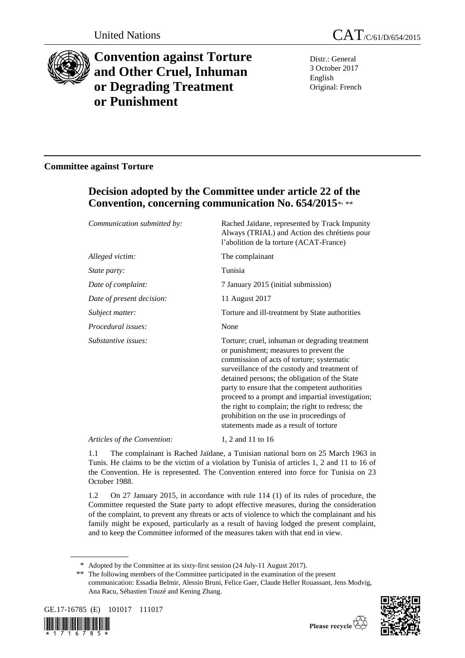

# **Convention against Torture and Other Cruel, Inhuman or Degrading Treatment or Punishment**

United Nations CAT/C/61/D/654/2015

Distr.: General 3 October 2017 English Original: French

## **Committee against Torture**

## **Decision adopted by the Committee under article 22 of the Convention, concerning communication No. 654/2015**\* , \*\*

| Communication submitted by: | Rached Jaïdane, represented by Track Impunity<br>Always (TRIAL) and Action des chrétiens pour<br>l'abolition de la torture (ACAT-France)                                                                                                                                                                                                                                                                                                                                               |
|-----------------------------|----------------------------------------------------------------------------------------------------------------------------------------------------------------------------------------------------------------------------------------------------------------------------------------------------------------------------------------------------------------------------------------------------------------------------------------------------------------------------------------|
| Alleged victim:             | The complainant                                                                                                                                                                                                                                                                                                                                                                                                                                                                        |
| <i>State party:</i>         | Tunisia                                                                                                                                                                                                                                                                                                                                                                                                                                                                                |
| Date of complaint:          | 7 January 2015 (initial submission)                                                                                                                                                                                                                                                                                                                                                                                                                                                    |
| Date of present decision:   | 11 August 2017                                                                                                                                                                                                                                                                                                                                                                                                                                                                         |
| Subject matter:             | Torture and ill-treatment by State authorities                                                                                                                                                                                                                                                                                                                                                                                                                                         |
| Procedural issues:          | None                                                                                                                                                                                                                                                                                                                                                                                                                                                                                   |
| Substantive issues:         | Torture; cruel, inhuman or degrading treatment<br>or punishment; measures to prevent the<br>commission of acts of torture; systematic<br>surveillance of the custody and treatment of<br>detained persons; the obligation of the State<br>party to ensure that the competent authorities<br>proceed to a prompt and impartial investigation;<br>the right to complain; the right to redress; the<br>prohibition on the use in proceedings of<br>statements made as a result of torture |
| $\cdots$ $\cdots$           | 1.01111117                                                                                                                                                                                                                                                                                                                                                                                                                                                                             |

*Articles of the Convention:* 1, 2 and 11 to 16

1.1 The complainant is Rached Jaïdane, a Tunisian national born on 25 March 1963 in Tunis. He claims to be the victim of a violation by Tunisia of articles 1, 2 and 11 to 16 of the Convention. He is represented. The Convention entered into force for Tunisia on 23 October 1988.

1.2 On 27 January 2015, in accordance with rule 114 (1) of its rules of procedure, the Committee requested the State party to adopt effective measures, during the consideration of the complaint, to prevent any threats or acts of violence to which the complainant and his family might be exposed, particularly as a result of having lodged the present complaint, and to keep the Committee informed of the measures taken with that end in view.

<sup>\*\*</sup> The following members of the Committee participated in the examination of the present communication: Essadia Belmir, Alessio Bruni, Felice Gaer, Claude Heller Rouassant, Jens Modvig, Ana Racu, Sébastien Touzé and Kening Zhang.







<sup>\*</sup> Adopted by the Committee at its sixty-first session (24 July-11 August 2017).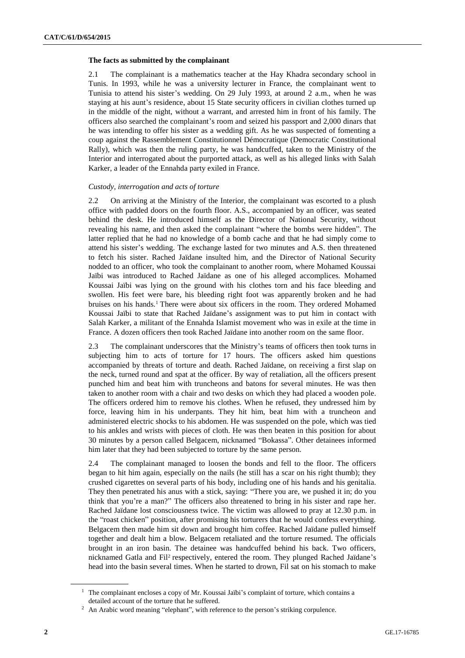## **The facts as submitted by the complainant**

2.1 The complainant is a mathematics teacher at the Hay Khadra secondary school in Tunis. In 1993, while he was a university lecturer in France, the complainant went to Tunisia to attend his sister's wedding. On 29 July 1993, at around 2 a.m., when he was staying at his aunt's residence, about 15 State security officers in civilian clothes turned up in the middle of the night, without a warrant, and arrested him in front of his family. The officers also searched the complainant's room and seized his passport and 2,000 dinars that he was intending to offer his sister as a wedding gift. As he was suspected of fomenting a coup against the Rassemblement Constitutionnel Démocratique (Democratic Constitutional Rally), which was then the ruling party, he was handcuffed, taken to the Ministry of the Interior and interrogated about the purported attack, as well as his alleged links with Salah Karker, a leader of the Ennahda party exiled in France.

## *Custody, interrogation and acts of torture*

2.2 On arriving at the Ministry of the Interior, the complainant was escorted to a plush office with padded doors on the fourth floor. A.S., accompanied by an officer, was seated behind the desk. He introduced himself as the Director of National Security, without revealing his name, and then asked the complainant "where the bombs were hidden". The latter replied that he had no knowledge of a bomb cache and that he had simply come to attend his sister's wedding. The exchange lasted for two minutes and A.S. then threatened to fetch his sister. Rached Jaïdane insulted him, and the Director of National Security nodded to an officer, who took the complainant to another room, where Mohamed Koussai Jaïbi was introduced to Rached Jaïdane as one of his alleged accomplices. Mohamed Koussai Jaïbi was lying on the ground with his clothes torn and his face bleeding and swollen. His feet were bare, his bleeding right foot was apparently broken and he had bruises on his hands.<sup>1</sup> There were about six officers in the room. They ordered Mohamed Koussai Jaïbi to state that Rached Jaïdane's assignment was to put him in contact with Salah Karker, a militant of the Ennahda Islamist movement who was in exile at the time in France. A dozen officers then took Rached Jaïdane into another room on the same floor.

2.3 The complainant underscores that the Ministry's teams of officers then took turns in subjecting him to acts of torture for 17 hours. The officers asked him questions accompanied by threats of torture and death. Rached Jaïdane, on receiving a first slap on the neck, turned round and spat at the officer. By way of retaliation, all the officers present punched him and beat him with truncheons and batons for several minutes. He was then taken to another room with a chair and two desks on which they had placed a wooden pole. The officers ordered him to remove his clothes. When he refused, they undressed him by force, leaving him in his underpants. They hit him, beat him with a truncheon and administered electric shocks to his abdomen. He was suspended on the pole, which was tied to his ankles and wrists with pieces of cloth. He was then beaten in this position for about 30 minutes by a person called Belgacem, nicknamed "Bokassa". Other detainees informed him later that they had been subjected to torture by the same person.

2.4 The complainant managed to loosen the bonds and fell to the floor. The officers began to hit him again, especially on the nails (he still has a scar on his right thumb); they crushed cigarettes on several parts of his body, including one of his hands and his genitalia. They then penetrated his anus with a stick, saying: "There you are, we pushed it in; do you think that you're a man?" The officers also threatened to bring in his sister and rape her. Rached Jaïdane lost consciousness twice. The victim was allowed to pray at 12.30 p.m. in the "roast chicken" position, after promising his torturers that he would confess everything. Belgacem then made him sit down and brought him coffee. Rached Jaïdane pulled himself together and dealt him a blow. Belgacem retaliated and the torture resumed. The officials brought in an iron basin. The detainee was handcuffed behind his back. Two officers, nicknamed Gatla and Fil<sup>2</sup> respectively, entered the room. They plunged Rached Jaïdane's head into the basin several times. When he started to drown, Fil sat on his stomach to make

 $1$  The complainant encloses a copy of Mr. Koussai Jaïbi's complaint of torture, which contains a detailed account of the torture that he suffered.

<sup>&</sup>lt;sup>2</sup> An Arabic word meaning "elephant", with reference to the person's striking corpulence.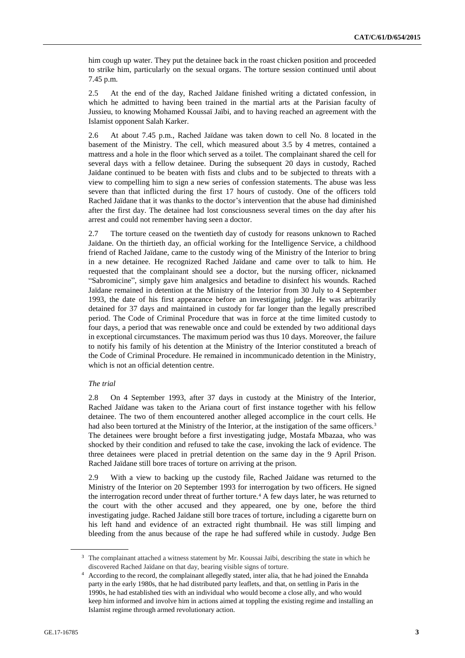him cough up water. They put the detainee back in the roast chicken position and proceeded to strike him, particularly on the sexual organs. The torture session continued until about 7.45 p.m.

2.5 At the end of the day, Rached Jaïdane finished writing a dictated confession, in which he admitted to having been trained in the martial arts at the Parisian faculty of Jussieu, to knowing Mohamed Koussaï Jaïbi, and to having reached an agreement with the Islamist opponent Salah Karker.

2.6 At about 7.45 p.m., Rached Jaïdane was taken down to cell No. 8 located in the basement of the Ministry. The cell, which measured about 3.5 by 4 metres, contained a mattress and a hole in the floor which served as a toilet. The complainant shared the cell for several days with a fellow detainee. During the subsequent 20 days in custody, Rached Jaïdane continued to be beaten with fists and clubs and to be subjected to threats with a view to compelling him to sign a new series of confession statements. The abuse was less severe than that inflicted during the first 17 hours of custody. One of the officers told Rached Jaïdane that it was thanks to the doctor's intervention that the abuse had diminished after the first day. The detainee had lost consciousness several times on the day after his arrest and could not remember having seen a doctor.

2.7 The torture ceased on the twentieth day of custody for reasons unknown to Rached Jaïdane. On the thirtieth day, an official working for the Intelligence Service, a childhood friend of Rached Jaïdane, came to the custody wing of the Ministry of the Interior to bring in a new detainee. He recognized Rached Jaïdane and came over to talk to him. He requested that the complainant should see a doctor, but the nursing officer, nicknamed "Sabromicine", simply gave him analgesics and betadine to disinfect his wounds. Rached Jaïdane remained in detention at the Ministry of the Interior from 30 July to 4 September 1993, the date of his first appearance before an investigating judge. He was arbitrarily detained for 37 days and maintained in custody for far longer than the legally prescribed period. The Code of Criminal Procedure that was in force at the time limited custody to four days, a period that was renewable once and could be extended by two additional days in exceptional circumstances. The maximum period was thus 10 days. Moreover, the failure to notify his family of his detention at the Ministry of the Interior constituted a breach of the Code of Criminal Procedure. He remained in incommunicado detention in the Ministry, which is not an official detention centre.

## *The trial*

2.8 On 4 September 1993, after 37 days in custody at the Ministry of the Interior, Rached Jaïdane was taken to the Ariana court of first instance together with his fellow detainee. The two of them encountered another alleged accomplice in the court cells. He had also been tortured at the Ministry of the Interior, at the instigation of the same officers.<sup>3</sup> The detainees were brought before a first investigating judge, Mostafa Mbazaa, who was shocked by their condition and refused to take the case, invoking the lack of evidence. The three detainees were placed in pretrial detention on the same day in the 9 April Prison. Rached Jaïdane still bore traces of torture on arriving at the prison.

2.9 With a view to backing up the custody file, Rached Jaïdane was returned to the Ministry of the Interior on 20 September 1993 for interrogation by two officers. He signed the interrogation record under threat of further torture.<sup>4</sup> A few days later, he was returned to the court with the other accused and they appeared, one by one, before the third investigating judge. Rached Jaïdane still bore traces of torture, including a cigarette burn on his left hand and evidence of an extracted right thumbnail. He was still limping and bleeding from the anus because of the rape he had suffered while in custody. Judge Ben

<sup>&</sup>lt;sup>3</sup> The complainant attached a witness statement by Mr. Koussai Jaïbi, describing the state in which he discovered Rached Jaïdane on that day, bearing visible signs of torture.

<sup>4</sup> According to the record, the complainant allegedly stated, inter alia, that he had joined the Ennahda party in the early 1980s, that he had distributed party leaflets, and that, on settling in Paris in the 1990s, he had established ties with an individual who would become a close ally, and who would keep him informed and involve him in actions aimed at toppling the existing regime and installing an Islamist regime through armed revolutionary action.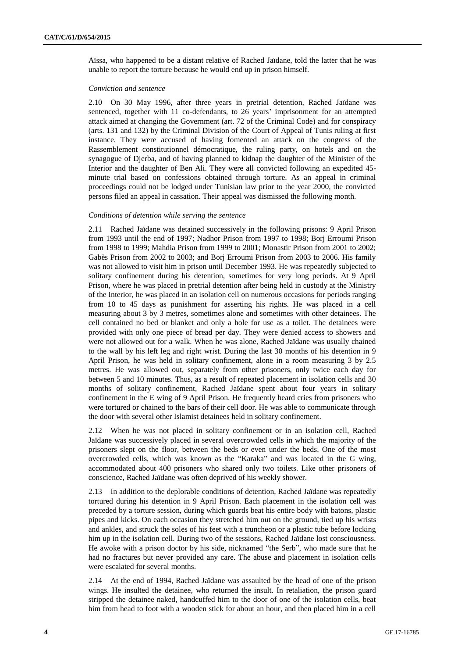Aïssa, who happened to be a distant relative of Rached Jaïdane, told the latter that he was unable to report the torture because he would end up in prison himself.

#### *Conviction and sentence*

2.10 On 30 May 1996, after three years in pretrial detention, Rached Jaïdane was sentenced, together with 11 co-defendants, to 26 years' imprisonment for an attempted attack aimed at changing the Government (art. 72 of the Criminal Code) and for conspiracy (arts. 131 and 132) by the Criminal Division of the Court of Appeal of Tunis ruling at first instance. They were accused of having fomented an attack on the congress of the Rassemblement constitutionnel démocratique, the ruling party, on hotels and on the synagogue of Djerba, and of having planned to kidnap the daughter of the Minister of the Interior and the daughter of Ben Ali. They were all convicted following an expedited 45 minute trial based on confessions obtained through torture. As an appeal in criminal proceedings could not be lodged under Tunisian law prior to the year 2000, the convicted persons filed an appeal in cassation. Their appeal was dismissed the following month.

#### *Conditions of detention while serving the sentence*

2.11 Rached Jaïdane was detained successively in the following prisons: 9 April Prison from 1993 until the end of 1997; Nadhor Prison from 1997 to 1998; Borj Erroumi Prison from 1998 to 1999; Mahdia Prison from 1999 to 2001; Monastir Prison from 2001 to 2002; Gabès Prison from 2002 to 2003; and Borj Erroumi Prison from 2003 to 2006. His family was not allowed to visit him in prison until December 1993. He was repeatedly subjected to solitary confinement during his detention, sometimes for very long periods. At 9 April Prison, where he was placed in pretrial detention after being held in custody at the Ministry of the Interior, he was placed in an isolation cell on numerous occasions for periods ranging from 10 to 45 days as punishment for asserting his rights. He was placed in a cell measuring about 3 by 3 metres, sometimes alone and sometimes with other detainees. The cell contained no bed or blanket and only a hole for use as a toilet. The detainees were provided with only one piece of bread per day. They were denied access to showers and were not allowed out for a walk. When he was alone, Rached Jaïdane was usually chained to the wall by his left leg and right wrist. During the last 30 months of his detention in 9 April Prison, he was held in solitary confinement, alone in a room measuring 3 by 2.5 metres. He was allowed out, separately from other prisoners, only twice each day for between 5 and 10 minutes. Thus, as a result of repeated placement in isolation cells and 30 months of solitary confinement, Rached Jaïdane spent about four years in solitary confinement in the E wing of 9 April Prison. He frequently heard cries from prisoners who were tortured or chained to the bars of their cell door. He was able to communicate through the door with several other Islamist detainees held in solitary confinement.

2.12 When he was not placed in solitary confinement or in an isolation cell, Rached Jaïdane was successively placed in several overcrowded cells in which the majority of the prisoners slept on the floor, between the beds or even under the beds. One of the most overcrowded cells, which was known as the "Karaka" and was located in the G wing, accommodated about 400 prisoners who shared only two toilets. Like other prisoners of conscience, Rached Jaïdane was often deprived of his weekly shower.

2.13 In addition to the deplorable conditions of detention, Rached Jaïdane was repeatedly tortured during his detention in 9 April Prison. Each placement in the isolation cell was preceded by a torture session, during which guards beat his entire body with batons, plastic pipes and kicks. On each occasion they stretched him out on the ground, tied up his wrists and ankles, and struck the soles of his feet with a truncheon or a plastic tube before locking him up in the isolation cell. During two of the sessions, Rached Jaïdane lost consciousness. He awoke with a prison doctor by his side, nicknamed "the Serb", who made sure that he had no fractures but never provided any care. The abuse and placement in isolation cells were escalated for several months.

2.14 At the end of 1994, Rached Jaïdane was assaulted by the head of one of the prison wings. He insulted the detainee, who returned the insult. In retaliation, the prison guard stripped the detainee naked, handcuffed him to the door of one of the isolation cells, beat him from head to foot with a wooden stick for about an hour, and then placed him in a cell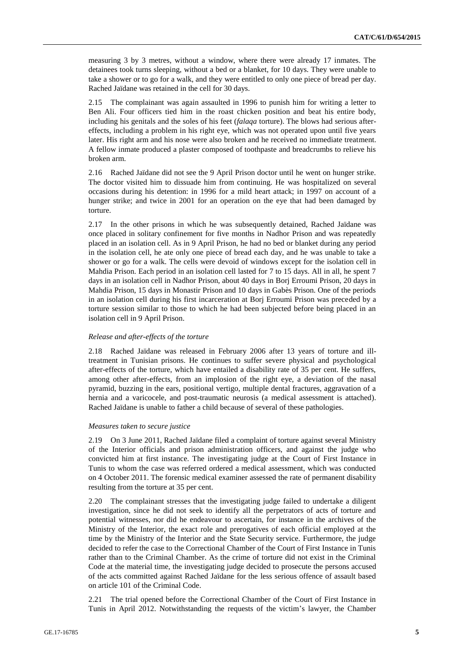measuring 3 by 3 metres, without a window, where there were already 17 inmates. The detainees took turns sleeping, without a bed or a blanket, for 10 days. They were unable to take a shower or to go for a walk, and they were entitled to only one piece of bread per day. Rached Jaïdane was retained in the cell for 30 days.

2.15 The complainant was again assaulted in 1996 to punish him for writing a letter to Ben Ali. Four officers tied him in the roast chicken position and beat his entire body, including his genitals and the soles of his feet (*falaqa* torture). The blows had serious aftereffects, including a problem in his right eye, which was not operated upon until five years later. His right arm and his nose were also broken and he received no immediate treatment. A fellow inmate produced a plaster composed of toothpaste and breadcrumbs to relieve his broken arm.

2.16 Rached Jaïdane did not see the 9 April Prison doctor until he went on hunger strike. The doctor visited him to dissuade him from continuing. He was hospitalized on several occasions during his detention: in 1996 for a mild heart attack; in 1997 on account of a hunger strike; and twice in 2001 for an operation on the eye that had been damaged by torture.

2.17 In the other prisons in which he was subsequently detained, Rached Jaïdane was once placed in solitary confinement for five months in Nadhor Prison and was repeatedly placed in an isolation cell. As in 9 April Prison, he had no bed or blanket during any period in the isolation cell, he ate only one piece of bread each day, and he was unable to take a shower or go for a walk. The cells were devoid of windows except for the isolation cell in Mahdia Prison. Each period in an isolation cell lasted for 7 to 15 days. All in all, he spent 7 days in an isolation cell in Nadhor Prison, about 40 days in Borj Erroumi Prison, 20 days in Mahdia Prison, 15 days in Monastir Prison and 10 days in Gabès Prison. One of the periods in an isolation cell during his first incarceration at Borj Erroumi Prison was preceded by a torture session similar to those to which he had been subjected before being placed in an isolation cell in 9 April Prison.

## *Release and after-effects of the torture*

2.18 Rached Jaïdane was released in February 2006 after 13 years of torture and illtreatment in Tunisian prisons. He continues to suffer severe physical and psychological after-effects of the torture, which have entailed a disability rate of 35 per cent. He suffers, among other after-effects, from an implosion of the right eye, a deviation of the nasal pyramid, buzzing in the ears, positional vertigo, multiple dental fractures, aggravation of a hernia and a varicocele, and post-traumatic neurosis (a medical assessment is attached). Rached Jaïdane is unable to father a child because of several of these pathologies.

#### *Measures taken to secure justice*

2.19 On 3 June 2011, Rached Jaïdane filed a complaint of torture against several Ministry of the Interior officials and prison administration officers, and against the judge who convicted him at first instance. The investigating judge at the Court of First Instance in Tunis to whom the case was referred ordered a medical assessment, which was conducted on 4 October 2011. The forensic medical examiner assessed the rate of permanent disability resulting from the torture at 35 per cent.

2.20 The complainant stresses that the investigating judge failed to undertake a diligent investigation, since he did not seek to identify all the perpetrators of acts of torture and potential witnesses, nor did he endeavour to ascertain, for instance in the archives of the Ministry of the Interior, the exact role and prerogatives of each official employed at the time by the Ministry of the Interior and the State Security service. Furthermore, the judge decided to refer the case to the Correctional Chamber of the Court of First Instance in Tunis rather than to the Criminal Chamber. As the crime of torture did not exist in the Criminal Code at the material time, the investigating judge decided to prosecute the persons accused of the acts committed against Rached Jaïdane for the less serious offence of assault based on article 101 of the Criminal Code.

2.21 The trial opened before the Correctional Chamber of the Court of First Instance in Tunis in April 2012. Notwithstanding the requests of the victim's lawyer, the Chamber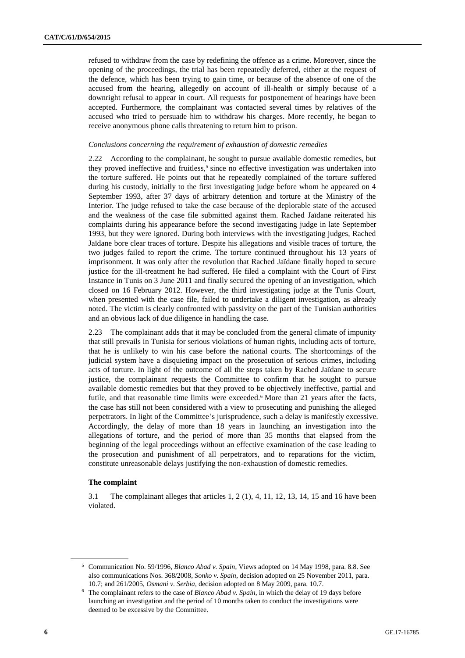refused to withdraw from the case by redefining the offence as a crime. Moreover, since the opening of the proceedings, the trial has been repeatedly deferred, either at the request of the defence, which has been trying to gain time, or because of the absence of one of the accused from the hearing, allegedly on account of ill-health or simply because of a downright refusal to appear in court. All requests for postponement of hearings have been accepted. Furthermore, the complainant was contacted several times by relatives of the accused who tried to persuade him to withdraw his charges. More recently, he began to receive anonymous phone calls threatening to return him to prison.

### *Conclusions concerning the requirement of exhaustion of domestic remedies*

2.22 According to the complainant, he sought to pursue available domestic remedies, but they proved ineffective and fruitless,<sup>5</sup> since no effective investigation was undertaken into the torture suffered. He points out that he repeatedly complained of the torture suffered during his custody, initially to the first investigating judge before whom he appeared on 4 September 1993, after 37 days of arbitrary detention and torture at the Ministry of the Interior. The judge refused to take the case because of the deplorable state of the accused and the weakness of the case file submitted against them. Rached Jaïdane reiterated his complaints during his appearance before the second investigating judge in late September 1993, but they were ignored. During both interviews with the investigating judges, Rached Jaïdane bore clear traces of torture. Despite his allegations and visible traces of torture, the two judges failed to report the crime. The torture continued throughout his 13 years of imprisonment. It was only after the revolution that Rached Jaïdane finally hoped to secure justice for the ill-treatment he had suffered. He filed a complaint with the Court of First Instance in Tunis on 3 June 2011 and finally secured the opening of an investigation, which closed on 16 February 2012. However, the third investigating judge at the Tunis Court, when presented with the case file, failed to undertake a diligent investigation, as already noted. The victim is clearly confronted with passivity on the part of the Tunisian authorities and an obvious lack of due diligence in handling the case.

2.23 The complainant adds that it may be concluded from the general climate of impunity that still prevails in Tunisia for serious violations of human rights, including acts of torture, that he is unlikely to win his case before the national courts. The shortcomings of the judicial system have a disquieting impact on the prosecution of serious crimes, including acts of torture. In light of the outcome of all the steps taken by Rached Jaïdane to secure justice, the complainant requests the Committee to confirm that he sought to pursue available domestic remedies but that they proved to be objectively ineffective, partial and futile, and that reasonable time limits were exceeded.<sup>6</sup> More than 21 years after the facts, the case has still not been considered with a view to prosecuting and punishing the alleged perpetrators. In light of the Committee's jurisprudence, such a delay is manifestly excessive. Accordingly, the delay of more than 18 years in launching an investigation into the allegations of torture, and the period of more than 35 months that elapsed from the beginning of the legal proceedings without an effective examination of the case leading to the prosecution and punishment of all perpetrators, and to reparations for the victim, constitute unreasonable delays justifying the non-exhaustion of domestic remedies.

## **The complaint**

3.1 The complainant alleges that articles 1, 2 (1), 4, 11, 12, 13, 14, 15 and 16 have been violated.

<sup>5</sup> Communication No. 59/1996, *Blanco Abad v. Spain*, Views adopted on 14 May 1998, para. 8.8. See also communications Nos. 368/2008, *Sonko v. Spain*, decision adopted on 25 November 2011, para. 10.7; and 261/2005, *Osmani v. Serbia*, decision adopted on 8 May 2009, para. 10.7.

<sup>6</sup> The complainant refers to the case of *Blanco Abad v. Spain*, in which the delay of 19 days before launching an investigation and the period of 10 months taken to conduct the investigations were deemed to be excessive by the Committee.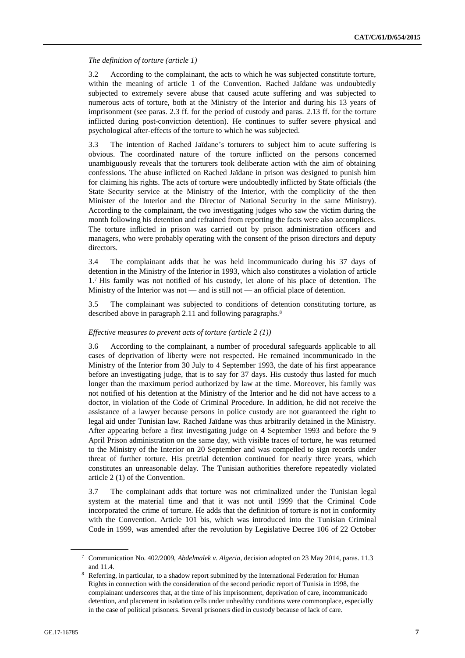## *The definition of torture (article 1)*

3.2 According to the complainant, the acts to which he was subjected constitute torture, within the meaning of article 1 of the Convention. Rached Jaïdane was undoubtedly subjected to extremely severe abuse that caused acute suffering and was subjected to numerous acts of torture, both at the Ministry of the Interior and during his 13 years of imprisonment (see paras. 2.3 ff. for the period of custody and paras. 2.13 ff. for the torture inflicted during post-conviction detention). He continues to suffer severe physical and psychological after-effects of the torture to which he was subjected.

3.3 The intention of Rached Jaïdane's torturers to subject him to acute suffering is obvious. The coordinated nature of the torture inflicted on the persons concerned unambiguously reveals that the torturers took deliberate action with the aim of obtaining confessions. The abuse inflicted on Rached Jaïdane in prison was designed to punish him for claiming his rights. The acts of torture were undoubtedly inflicted by State officials (the State Security service at the Ministry of the Interior, with the complicity of the then Minister of the Interior and the Director of National Security in the same Ministry). According to the complainant, the two investigating judges who saw the victim during the month following his detention and refrained from reporting the facts were also accomplices. The torture inflicted in prison was carried out by prison administration officers and managers, who were probably operating with the consent of the prison directors and deputy directors.

3.4 The complainant adds that he was held incommunicado during his 37 days of detention in the Ministry of the Interior in 1993, which also constitutes a violation of article 1.<sup>7</sup> His family was not notified of his custody, let alone of his place of detention. The Ministry of the Interior was not — and is still not — an official place of detention.

3.5 The complainant was subjected to conditions of detention constituting torture, as described above in paragraph 2.11 and following paragraphs.<sup>8</sup>

## *Effective measures to prevent acts of torture (article 2 (1))*

3.6 According to the complainant, a number of procedural safeguards applicable to all cases of deprivation of liberty were not respected. He remained incommunicado in the Ministry of the Interior from 30 July to 4 September 1993, the date of his first appearance before an investigating judge, that is to say for 37 days. His custody thus lasted for much longer than the maximum period authorized by law at the time. Moreover, his family was not notified of his detention at the Ministry of the Interior and he did not have access to a doctor, in violation of the Code of Criminal Procedure. In addition, he did not receive the assistance of a lawyer because persons in police custody are not guaranteed the right to legal aid under Tunisian law. Rached Jaïdane was thus arbitrarily detained in the Ministry. After appearing before a first investigating judge on 4 September 1993 and before the 9 April Prison administration on the same day, with visible traces of torture, he was returned to the Ministry of the Interior on 20 September and was compelled to sign records under threat of further torture. His pretrial detention continued for nearly three years, which constitutes an unreasonable delay. The Tunisian authorities therefore repeatedly violated article 2 (1) of the Convention.

3.7 The complainant adds that torture was not criminalized under the Tunisian legal system at the material time and that it was not until 1999 that the Criminal Code incorporated the crime of torture. He adds that the definition of torture is not in conformity with the Convention. Article 101 bis, which was introduced into the Tunisian Criminal Code in 1999, was amended after the revolution by Legislative Decree 106 of 22 October

<sup>7</sup> Communication No. 402/2009, *Abdelmalek v. Algeria*, decision adopted on 23 May 2014, paras. 11.3 and 11.4.

<sup>8</sup> Referring, in particular, to a shadow report submitted by the International Federation for Human Rights in connection with the consideration of the second periodic report of Tunisia in 1998, the complainant underscores that, at the time of his imprisonment, deprivation of care, incommunicado detention, and placement in isolation cells under unhealthy conditions were commonplace, especially in the case of political prisoners. Several prisoners died in custody because of lack of care.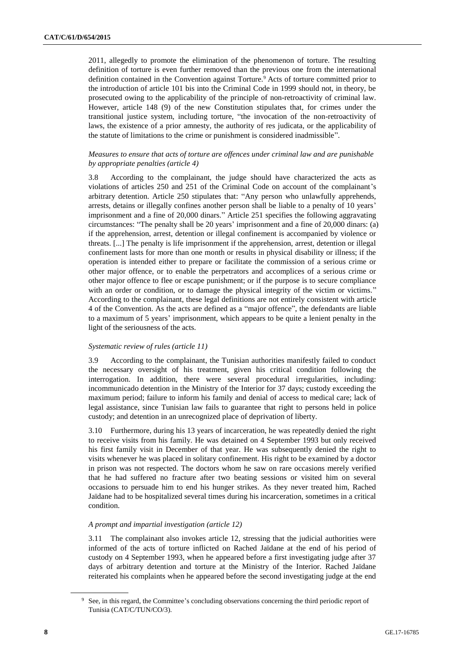2011, allegedly to promote the elimination of the phenomenon of torture. The resulting definition of torture is even further removed than the previous one from the international definition contained in the Convention against Torture.<sup>9</sup> Acts of torture committed prior to the introduction of article 101 bis into the Criminal Code in 1999 should not, in theory, be prosecuted owing to the applicability of the principle of non-retroactivity of criminal law. However, article 148 (9) of the new Constitution stipulates that, for crimes under the transitional justice system, including torture, "the invocation of the non-retroactivity of laws, the existence of a prior amnesty, the authority of res judicata, or the applicability of the statute of limitations to the crime or punishment is considered inadmissible".

## *Measures to ensure that acts of torture are offences under criminal law and are punishable by appropriate penalties (article 4)*

3.8 According to the complainant, the judge should have characterized the acts as violations of articles 250 and 251 of the Criminal Code on account of the complainant's arbitrary detention. Article 250 stipulates that: "Any person who unlawfully apprehends, arrests, detains or illegally confines another person shall be liable to a penalty of 10 years' imprisonment and a fine of 20,000 dinars." Article 251 specifies the following aggravating circumstances: "The penalty shall be 20 years' imprisonment and a fine of 20,000 dinars: (a) if the apprehension, arrest, detention or illegal confinement is accompanied by violence or threats. [...] The penalty is life imprisonment if the apprehension, arrest, detention or illegal confinement lasts for more than one month or results in physical disability or illness; if the operation is intended either to prepare or facilitate the commission of a serious crime or other major offence, or to enable the perpetrators and accomplices of a serious crime or other major offence to flee or escape punishment; or if the purpose is to secure compliance with an order or condition, or to damage the physical integrity of the victim or victims." According to the complainant, these legal definitions are not entirely consistent with article 4 of the Convention. As the acts are defined as a "major offence", the defendants are liable to a maximum of 5 years' imprisonment, which appears to be quite a lenient penalty in the light of the seriousness of the acts.

## *Systematic review of rules (article 11)*

3.9 According to the complainant, the Tunisian authorities manifestly failed to conduct the necessary oversight of his treatment, given his critical condition following the interrogation. In addition, there were several procedural irregularities, including: incommunicado detention in the Ministry of the Interior for 37 days; custody exceeding the maximum period; failure to inform his family and denial of access to medical care; lack of legal assistance, since Tunisian law fails to guarantee that right to persons held in police custody; and detention in an unrecognized place of deprivation of liberty.

3.10 Furthermore, during his 13 years of incarceration, he was repeatedly denied the right to receive visits from his family. He was detained on 4 September 1993 but only received his first family visit in December of that year. He was subsequently denied the right to visits whenever he was placed in solitary confinement. His right to be examined by a doctor in prison was not respected. The doctors whom he saw on rare occasions merely verified that he had suffered no fracture after two beating sessions or visited him on several occasions to persuade him to end his hunger strikes. As they never treated him, Rached Jaïdane had to be hospitalized several times during his incarceration, sometimes in a critical condition.

## *A prompt and impartial investigation (article 12)*

3.11 The complainant also invokes article 12, stressing that the judicial authorities were informed of the acts of torture inflicted on Rached Jaïdane at the end of his period of custody on 4 September 1993, when he appeared before a first investigating judge after 37 days of arbitrary detention and torture at the Ministry of the Interior. Rached Jaïdane reiterated his complaints when he appeared before the second investigating judge at the end

<sup>&</sup>lt;sup>9</sup> See, in this regard, the Committee's concluding observations concerning the third periodic report of Tunisia (CAT/C/TUN/CO/3).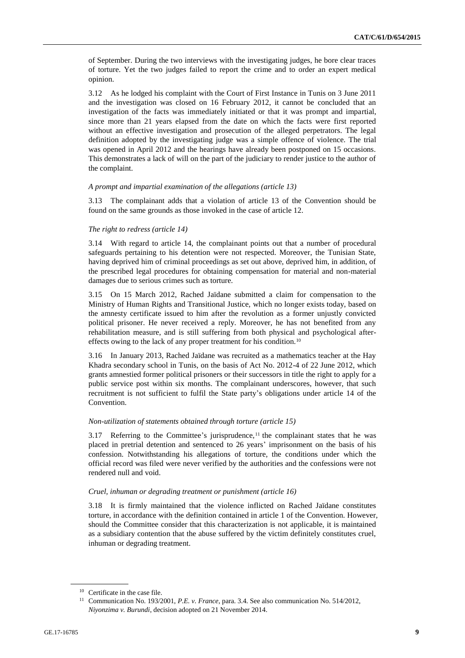of September. During the two interviews with the investigating judges, he bore clear traces of torture. Yet the two judges failed to report the crime and to order an expert medical opinion.

3.12 As he lodged his complaint with the Court of First Instance in Tunis on 3 June 2011 and the investigation was closed on 16 February 2012, it cannot be concluded that an investigation of the facts was immediately initiated or that it was prompt and impartial, since more than 21 years elapsed from the date on which the facts were first reported without an effective investigation and prosecution of the alleged perpetrators. The legal definition adopted by the investigating judge was a simple offence of violence. The trial was opened in April 2012 and the hearings have already been postponed on 15 occasions. This demonstrates a lack of will on the part of the judiciary to render justice to the author of the complaint.

## *A prompt and impartial examination of the allegations (article 13)*

3.13 The complainant adds that a violation of article 13 of the Convention should be found on the same grounds as those invoked in the case of article 12.

### *The right to redress (article 14)*

3.14 With regard to article 14, the complainant points out that a number of procedural safeguards pertaining to his detention were not respected. Moreover, the Tunisian State, having deprived him of criminal proceedings as set out above, deprived him, in addition, of the prescribed legal procedures for obtaining compensation for material and non-material damages due to serious crimes such as torture.

3.15 On 15 March 2012, Rached Jaïdane submitted a claim for compensation to the Ministry of Human Rights and Transitional Justice, which no longer exists today, based on the amnesty certificate issued to him after the revolution as a former unjustly convicted political prisoner. He never received a reply. Moreover, he has not benefited from any rehabilitation measure, and is still suffering from both physical and psychological aftereffects owing to the lack of any proper treatment for his condition.<sup>10</sup>

3.16 In January 2013, Rached Jaïdane was recruited as a mathematics teacher at the Hay Khadra secondary school in Tunis, on the basis of Act No. 2012-4 of 22 June 2012, which grants amnestied former political prisoners or their successors in title the right to apply for a public service post within six months. The complainant underscores, however, that such recruitment is not sufficient to fulfil the State party's obligations under article 14 of the Convention.

#### *Non-utilization of statements obtained through torture (article 15)*

3.17 Referring to the Committee's jurisprudence, $11$  the complainant states that he was placed in pretrial detention and sentenced to 26 years' imprisonment on the basis of his confession. Notwithstanding his allegations of torture, the conditions under which the official record was filed were never verified by the authorities and the confessions were not rendered null and void.

#### *Cruel, inhuman or degrading treatment or punishment (article 16)*

3.18 It is firmly maintained that the violence inflicted on Rached Jaïdane constitutes torture, in accordance with the definition contained in article 1 of the Convention. However, should the Committee consider that this characterization is not applicable, it is maintained as a subsidiary contention that the abuse suffered by the victim definitely constitutes cruel, inhuman or degrading treatment.

<sup>&</sup>lt;sup>10</sup> Certificate in the case file.

<sup>11</sup> Communication No. 193/2001, *P.E. v. France*, para. 3.4. See also communication No. 514/2012, *Niyonzima v. Burundi*, decision adopted on 21 November 2014.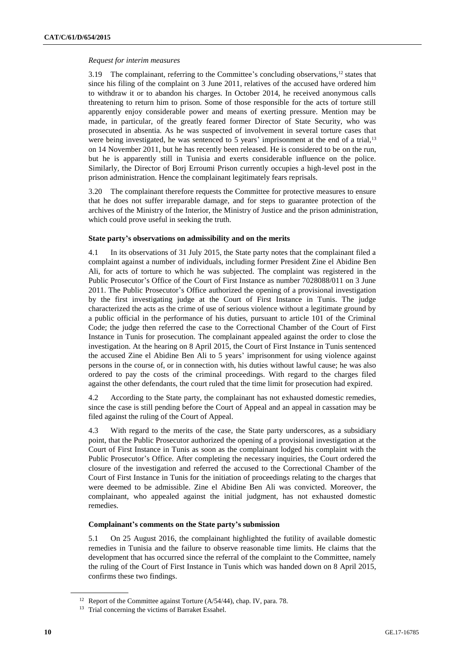## *Request for interim measures*

3.19 The complainant, referring to the Committee's concluding observations,<sup>12</sup> states that since his filing of the complaint on 3 June 2011, relatives of the accused have ordered him to withdraw it or to abandon his charges. In October 2014, he received anonymous calls threatening to return him to prison. Some of those responsible for the acts of torture still apparently enjoy considerable power and means of exerting pressure. Mention may be made, in particular, of the greatly feared former Director of State Security, who was prosecuted in absentia. As he was suspected of involvement in several torture cases that were being investigated, he was sentenced to 5 years' imprisonment at the end of a trial,<sup>13</sup> on 14 November 2011, but he has recently been released. He is considered to be on the run, but he is apparently still in Tunisia and exerts considerable influence on the police. Similarly, the Director of Borj Erroumi Prison currently occupies a high-level post in the prison administration. Hence the complainant legitimately fears reprisals.

3.20 The complainant therefore requests the Committee for protective measures to ensure that he does not suffer irreparable damage, and for steps to guarantee protection of the archives of the Ministry of the Interior, the Ministry of Justice and the prison administration, which could prove useful in seeking the truth.

## **State party's observations on admissibility and on the merits**

4.1 In its observations of 31 July 2015, the State party notes that the complainant filed a complaint against a number of individuals, including former President Zine el Abidine Ben Ali, for acts of torture to which he was subjected. The complaint was registered in the Public Prosecutor's Office of the Court of First Instance as number 7028088/011 on 3 June 2011. The Public Prosecutor's Office authorized the opening of a provisional investigation by the first investigating judge at the Court of First Instance in Tunis. The judge characterized the acts as the crime of use of serious violence without a legitimate ground by a public official in the performance of his duties, pursuant to article 101 of the Criminal Code; the judge then referred the case to the Correctional Chamber of the Court of First Instance in Tunis for prosecution. The complainant appealed against the order to close the investigation. At the hearing on 8 April 2015, the Court of First Instance in Tunis sentenced the accused Zine el Abidine Ben Ali to 5 years' imprisonment for using violence against persons in the course of, or in connection with, his duties without lawful cause; he was also ordered to pay the costs of the criminal proceedings. With regard to the charges filed against the other defendants, the court ruled that the time limit for prosecution had expired.

4.2 According to the State party, the complainant has not exhausted domestic remedies, since the case is still pending before the Court of Appeal and an appeal in cassation may be filed against the ruling of the Court of Appeal.

4.3 With regard to the merits of the case, the State party underscores, as a subsidiary point, that the Public Prosecutor authorized the opening of a provisional investigation at the Court of First Instance in Tunis as soon as the complainant lodged his complaint with the Public Prosecutor's Office. After completing the necessary inquiries, the Court ordered the closure of the investigation and referred the accused to the Correctional Chamber of the Court of First Instance in Tunis for the initiation of proceedings relating to the charges that were deemed to be admissible. Zine el Abidine Ben Ali was convicted. Moreover, the complainant, who appealed against the initial judgment, has not exhausted domestic remedies.

## **Complainant's comments on the State party's submission**

5.1 On 25 August 2016, the complainant highlighted the futility of available domestic remedies in Tunisia and the failure to observe reasonable time limits. He claims that the development that has occurred since the referral of the complaint to the Committee, namely the ruling of the Court of First Instance in Tunis which was handed down on 8 April 2015, confirms these two findings.

<sup>&</sup>lt;sup>12</sup> Report of the Committee against Torture (A/54/44), chap. IV, para. 78.

<sup>&</sup>lt;sup>13</sup> Trial concerning the victims of Barraket Essahel.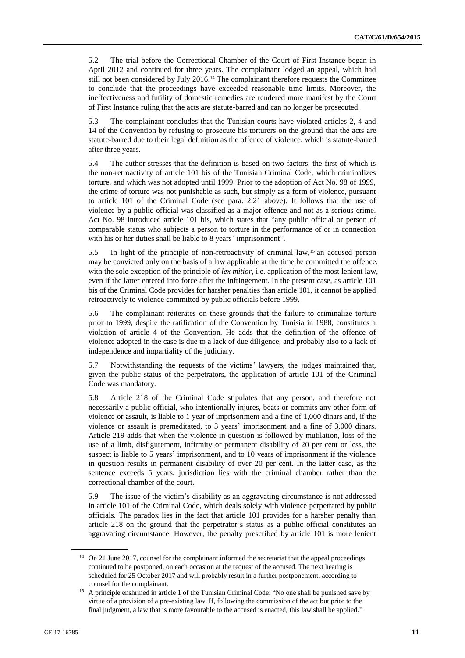5.2 The trial before the Correctional Chamber of the Court of First Instance began in April 2012 and continued for three years. The complainant lodged an appeal, which had still not been considered by July 2016.<sup>14</sup> The complainant therefore requests the Committee to conclude that the proceedings have exceeded reasonable time limits. Moreover, the ineffectiveness and futility of domestic remedies are rendered more manifest by the Court of First Instance ruling that the acts are statute-barred and can no longer be prosecuted.

5.3 The complainant concludes that the Tunisian courts have violated articles 2, 4 and 14 of the Convention by refusing to prosecute his torturers on the ground that the acts are statute-barred due to their legal definition as the offence of violence, which is statute-barred after three years.

5.4 The author stresses that the definition is based on two factors, the first of which is the non-retroactivity of article 101 bis of the Tunisian Criminal Code, which criminalizes torture, and which was not adopted until 1999. Prior to the adoption of Act No. 98 of 1999, the crime of torture was not punishable as such, but simply as a form of violence, pursuant to article 101 of the Criminal Code (see para. 2.21 above). It follows that the use of violence by a public official was classified as a major offence and not as a serious crime. Act No. 98 introduced article 101 bis, which states that "any public official or person of comparable status who subjects a person to torture in the performance of or in connection with his or her duties shall be liable to 8 years' imprisonment".

5.5 In light of the principle of non-retroactivity of criminal law,<sup>15</sup> an accused person may be convicted only on the basis of a law applicable at the time he committed the offence, with the sole exception of the principle of *lex mitior*, i.e. application of the most lenient law, even if the latter entered into force after the infringement. In the present case, as article 101 bis of the Criminal Code provides for harsher penalties than article 101, it cannot be applied retroactively to violence committed by public officials before 1999.

5.6 The complainant reiterates on these grounds that the failure to criminalize torture prior to 1999, despite the ratification of the Convention by Tunisia in 1988, constitutes a violation of article 4 of the Convention. He adds that the definition of the offence of violence adopted in the case is due to a lack of due diligence, and probably also to a lack of independence and impartiality of the judiciary.

5.7 Notwithstanding the requests of the victims' lawyers, the judges maintained that, given the public status of the perpetrators, the application of article 101 of the Criminal Code was mandatory.

5.8 Article 218 of the Criminal Code stipulates that any person, and therefore not necessarily a public official, who intentionally injures, beats or commits any other form of violence or assault, is liable to 1 year of imprisonment and a fine of 1,000 dinars and, if the violence or assault is premeditated, to 3 years' imprisonment and a fine of 3,000 dinars. Article 219 adds that when the violence in question is followed by mutilation, loss of the use of a limb, disfigurement, infirmity or permanent disability of 20 per cent or less, the suspect is liable to 5 years' imprisonment, and to 10 years of imprisonment if the violence in question results in permanent disability of over 20 per cent. In the latter case, as the sentence exceeds 5 years, jurisdiction lies with the criminal chamber rather than the correctional chamber of the court.

5.9 The issue of the victim's disability as an aggravating circumstance is not addressed in article 101 of the Criminal Code, which deals solely with violence perpetrated by public officials. The paradox lies in the fact that article 101 provides for a harsher penalty than article 218 on the ground that the perpetrator's status as a public official constitutes an aggravating circumstance. However, the penalty prescribed by article 101 is more lenient

<sup>&</sup>lt;sup>14</sup> On 21 June 2017, counsel for the complainant informed the secretariat that the appeal proceedings continued to be postponed, on each occasion at the request of the accused. The next hearing is scheduled for 25 October 2017 and will probably result in a further postponement, according to counsel for the complainant.

<sup>&</sup>lt;sup>15</sup> A principle enshrined in article 1 of the Tunisian Criminal Code: "No one shall be punished save by virtue of a provision of a pre-existing law. If, following the commission of the act but prior to the final judgment, a law that is more favourable to the accused is enacted, this law shall be applied."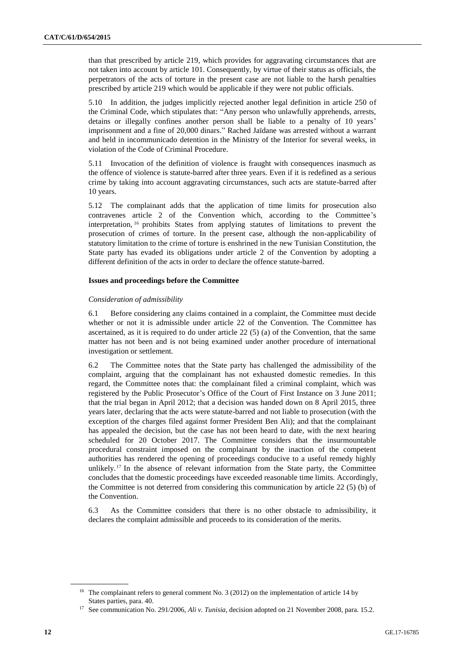than that prescribed by article 219, which provides for aggravating circumstances that are not taken into account by article 101. Consequently, by virtue of their status as officials, the perpetrators of the acts of torture in the present case are not liable to the harsh penalties prescribed by article 219 which would be applicable if they were not public officials.

5.10 In addition, the judges implicitly rejected another legal definition in article 250 of the Criminal Code, which stipulates that: "Any person who unlawfully apprehends, arrests, detains or illegally confines another person shall be liable to a penalty of 10 years' imprisonment and a fine of 20,000 dinars." Rached Jaïdane was arrested without a warrant and held in incommunicado detention in the Ministry of the Interior for several weeks, in violation of the Code of Criminal Procedure.

5.11 Invocation of the definition of violence is fraught with consequences inasmuch as the offence of violence is statute-barred after three years. Even if it is redefined as a serious crime by taking into account aggravating circumstances, such acts are statute-barred after 10 years.

5.12 The complainant adds that the application of time limits for prosecution also contravenes article 2 of the Convention which, according to the Committee's interpretation, <sup>16</sup> prohibits States from applying statutes of limitations to prevent the prosecution of crimes of torture. In the present case, although the non-applicability of statutory limitation to the crime of torture is enshrined in the new Tunisian Constitution, the State party has evaded its obligations under article 2 of the Convention by adopting a different definition of the acts in order to declare the offence statute-barred.

## **Issues and proceedings before the Committee**

#### *Consideration of admissibility*

6.1 Before considering any claims contained in a complaint, the Committee must decide whether or not it is admissible under article 22 of the Convention. The Committee has ascertained, as it is required to do under article 22 (5) (a) of the Convention, that the same matter has not been and is not being examined under another procedure of international investigation or settlement.

6.2 The Committee notes that the State party has challenged the admissibility of the complaint, arguing that the complainant has not exhausted domestic remedies. In this regard, the Committee notes that: the complainant filed a criminal complaint, which was registered by the Public Prosecutor's Office of the Court of First Instance on 3 June 2011; that the trial began in April 2012; that a decision was handed down on 8 April 2015, three years later, declaring that the acts were statute-barred and not liable to prosecution (with the exception of the charges filed against former President Ben Ali); and that the complainant has appealed the decision, but the case has not been heard to date, with the next hearing scheduled for 20 October 2017. The Committee considers that the insurmountable procedural constraint imposed on the complainant by the inaction of the competent authorities has rendered the opening of proceedings conducive to a useful remedy highly unlikely.<sup>17</sup> In the absence of relevant information from the State party, the Committee concludes that the domestic proceedings have exceeded reasonable time limits. Accordingly, the Committee is not deterred from considering this communication by article 22 (5) (b) of the Convention.

6.3 As the Committee considers that there is no other obstacle to admissibility, it declares the complaint admissible and proceeds to its consideration of the merits.

<sup>&</sup>lt;sup>16</sup> The complainant refers to general comment No. 3 (2012) on the implementation of article 14 by States parties, para. 40.

<sup>&</sup>lt;sup>17</sup> See communication No. 291/2006, *Ali v. Tunisia*, decision adopted on 21 November 2008, para. 15.2.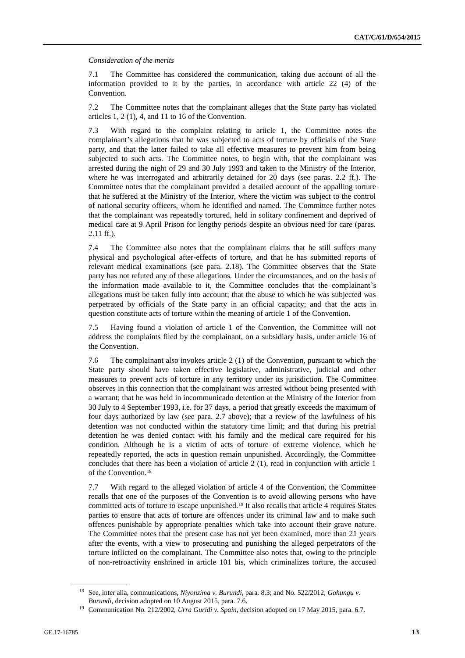## *Consideration of the merits*

7.1 The Committee has considered the communication, taking due account of all the information provided to it by the parties, in accordance with article 22 (4) of the Convention.

7.2 The Committee notes that the complainant alleges that the State party has violated articles 1, 2 (1), 4, and 11 to 16 of the Convention.

7.3 With regard to the complaint relating to article 1, the Committee notes the complainant's allegations that he was subjected to acts of torture by officials of the State party, and that the latter failed to take all effective measures to prevent him from being subjected to such acts. The Committee notes, to begin with, that the complainant was arrested during the night of 29 and 30 July 1993 and taken to the Ministry of the Interior, where he was interrogated and arbitrarily detained for 20 days (see paras. 2.2 ff.). The Committee notes that the complainant provided a detailed account of the appalling torture that he suffered at the Ministry of the Interior, where the victim was subject to the control of national security officers, whom he identified and named. The Committee further notes that the complainant was repeatedly tortured, held in solitary confinement and deprived of medical care at 9 April Prison for lengthy periods despite an obvious need for care (paras. 2.11 ff.).

7.4 The Committee also notes that the complainant claims that he still suffers many physical and psychological after-effects of torture, and that he has submitted reports of relevant medical examinations (see para. 2.18). The Committee observes that the State party has not refuted any of these allegations. Under the circumstances, and on the basis of the information made available to it, the Committee concludes that the complainant's allegations must be taken fully into account; that the abuse to which he was subjected was perpetrated by officials of the State party in an official capacity; and that the acts in question constitute acts of torture within the meaning of article 1 of the Convention.

7.5 Having found a violation of article 1 of the Convention, the Committee will not address the complaints filed by the complainant, on a subsidiary basis, under article 16 of the Convention.

7.6 The complainant also invokes article 2 (1) of the Convention, pursuant to which the State party should have taken effective legislative, administrative, judicial and other measures to prevent acts of torture in any territory under its jurisdiction. The Committee observes in this connection that the complainant was arrested without being presented with a warrant; that he was held in incommunicado detention at the Ministry of the Interior from 30 July to 4 September 1993, i.e. for 37 days, a period that greatly exceeds the maximum of four days authorized by law (see para. 2.7 above); that a review of the lawfulness of his detention was not conducted within the statutory time limit; and that during his pretrial detention he was denied contact with his family and the medical care required for his condition. Although he is a victim of acts of torture of extreme violence, which he repeatedly reported, the acts in question remain unpunished. Accordingly, the Committee concludes that there has been a violation of article 2 (1), read in conjunction with article 1 of the Convention.<sup>18</sup>

7.7 With regard to the alleged violation of article 4 of the Convention, the Committee recalls that one of the purposes of the Convention is to avoid allowing persons who have committed acts of torture to escape unpunished.<sup>19</sup> It also recalls that article 4 requires States parties to ensure that acts of torture are offences under its criminal law and to make such offences punishable by appropriate penalties which take into account their grave nature. The Committee notes that the present case has not yet been examined, more than 21 years after the events, with a view to prosecuting and punishing the alleged perpetrators of the torture inflicted on the complainant. The Committee also notes that, owing to the principle of non-retroactivity enshrined in article 101 bis, which criminalizes torture, the accused

<sup>18</sup> See, inter alia, communications, *Niyonzima v. Burundi*, para. 8.3; and No. 522/2012, *Gahungu v. Burundi*, decision adopted on 10 August 2015, para. 7.6.

<sup>19</sup> Communication No. 212/2002, *Urra Guridi v. Spain*, decision adopted on 17 May 2015, para. 6.7.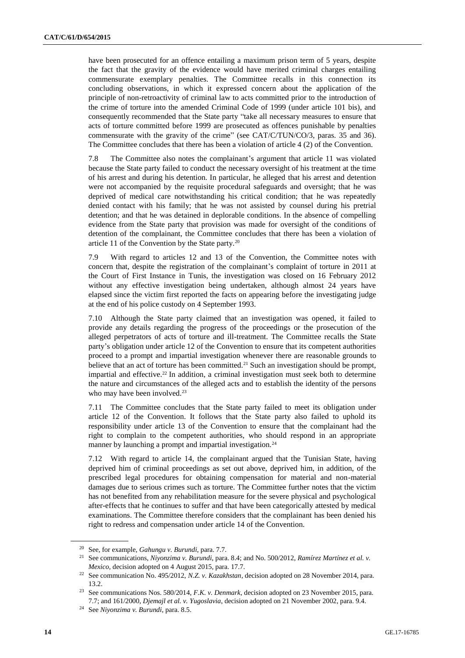have been prosecuted for an offence entailing a maximum prison term of 5 years, despite the fact that the gravity of the evidence would have merited criminal charges entailing commensurate exemplary penalties. The Committee recalls in this connection its concluding observations, in which it expressed concern about the application of the principle of non-retroactivity of criminal law to acts committed prior to the introduction of the crime of torture into the amended Criminal Code of 1999 (under article 101 bis), and consequently recommended that the State party "take all necessary measures to ensure that acts of torture committed before 1999 are prosecuted as offences punishable by penalties commensurate with the gravity of the crime" (see CAT/C/TUN/CO/3, paras. 35 and 36). The Committee concludes that there has been a violation of article 4 (2) of the Convention.

7.8 The Committee also notes the complainant's argument that article 11 was violated because the State party failed to conduct the necessary oversight of his treatment at the time of his arrest and during his detention. In particular, he alleged that his arrest and detention were not accompanied by the requisite procedural safeguards and oversight; that he was deprived of medical care notwithstanding his critical condition; that he was repeatedly denied contact with his family; that he was not assisted by counsel during his pretrial detention; and that he was detained in deplorable conditions. In the absence of compelling evidence from the State party that provision was made for oversight of the conditions of detention of the complainant, the Committee concludes that there has been a violation of article 11 of the Convention by the State party.<sup>20</sup>

7.9 With regard to articles 12 and 13 of the Convention, the Committee notes with concern that, despite the registration of the complainant's complaint of torture in 2011 at the Court of First Instance in Tunis, the investigation was closed on 16 February 2012 without any effective investigation being undertaken, although almost 24 years have elapsed since the victim first reported the facts on appearing before the investigating judge at the end of his police custody on 4 September 1993.

7.10 Although the State party claimed that an investigation was opened, it failed to provide any details regarding the progress of the proceedings or the prosecution of the alleged perpetrators of acts of torture and ill-treatment. The Committee recalls the State party's obligation under article 12 of the Convention to ensure that its competent authorities proceed to a prompt and impartial investigation whenever there are reasonable grounds to believe that an act of torture has been committed.<sup>21</sup> Such an investigation should be prompt, impartial and effective.<sup>22</sup> In addition, a criminal investigation must seek both to determine the nature and circumstances of the alleged acts and to establish the identity of the persons who may have been involved.<sup>23</sup>

7.11 The Committee concludes that the State party failed to meet its obligation under article 12 of the Convention. It follows that the State party also failed to uphold its responsibility under article 13 of the Convention to ensure that the complainant had the right to complain to the competent authorities, who should respond in an appropriate manner by launching a prompt and impartial investigation.<sup>24</sup>

7.12 With regard to article 14, the complainant argued that the Tunisian State, having deprived him of criminal proceedings as set out above, deprived him, in addition, of the prescribed legal procedures for obtaining compensation for material and non-material damages due to serious crimes such as torture. The Committee further notes that the victim has not benefited from any rehabilitation measure for the severe physical and psychological after-effects that he continues to suffer and that have been categorically attested by medical examinations. The Committee therefore considers that the complainant has been denied his right to redress and compensation under article 14 of the Convention.

<sup>20</sup> See, for example, *Gahungu v. Burundi*, para. 7.7.

<sup>21</sup> See communications, *Niyonzima v. Burundi*, para. 8.4; and No. 500/2012, *Ramírez Martínez et al. v. Mexico*, decision adopted on 4 August 2015, para. 17.7.

<sup>22</sup> See communication No. 495/2012, *N.Z. v. Kazakhstan*, decision adopted on 28 November 2014, para. 13.2.

<sup>23</sup> See communications Nos. 580/2014, *F.K. v. Denmark*, decision adopted on 23 November 2015, para. 7.7; and 161/2000, *Djemajl et al. v. Yugoslavia*, decision adopted on 21 November 2002, para. 9.4.

<sup>24</sup> See *Niyonzima v. Burundi*, para. 8.5.